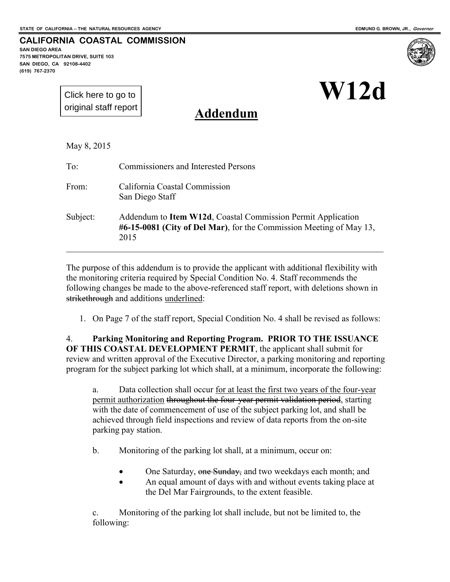**CALIFORNIA COASTAL COMMISSION** 

**SAN DIEGO AREA 7575 METROPOLITAN DRIVE, SUITE 103 SAN DIEGO, CA 92108-4402 (619) 767-2370**



[Click here to go to](#page-3-0)  original staff report

**Addendum**

May 8, 2015

To: Commissioners and Interested Persons From: California Coastal Commission San Diego Staff

Subject: Addendum to **Item W12d**, Coastal Commission Permit Application **#6-15-0081 (City of Del Mar)**, for the Commission Meeting of May 13, 2015

\_\_\_\_\_\_\_\_\_\_\_\_\_\_\_\_\_\_\_\_\_\_\_\_\_\_\_\_\_\_\_\_\_\_\_\_\_\_\_\_\_\_\_\_\_\_\_\_\_\_\_\_\_\_\_\_\_\_\_\_\_\_\_\_\_\_\_\_\_\_\_\_

The purpose of this addendum is to provide the applicant with additional flexibility with the monitoring criteria required by Special Condition No. 4. Staff recommends the following changes be made to the above-referenced staff report, with deletions shown in strikethrough and additions underlined:

1. On Page 7 of the staff report, Special Condition No. 4 shall be revised as follows:

4. **Parking Monitoring and Reporting Program. PRIOR TO THE ISSUANCE OF THIS COASTAL DEVELOPMENT PERMIT**, the applicant shall submit for review and written approval of the Executive Director, a parking monitoring and reporting program for the subject parking lot which shall, at a minimum, incorporate the following:

a. Data collection shall occur for at least the first two years of the four-year permit authorization throughout the four-year permit validation period, starting with the date of commencement of use of the subject parking lot, and shall be achieved through field inspections and review of data reports from the on-site parking pay station.

b. Monitoring of the parking lot shall, at a minimum, occur on:

- One Saturday, one Sunday, and two weekdays each month; and
- An equal amount of days with and without events taking place at the Del Mar Fairgrounds, to the extent feasible.

c. Monitoring of the parking lot shall include, but not be limited to, the following: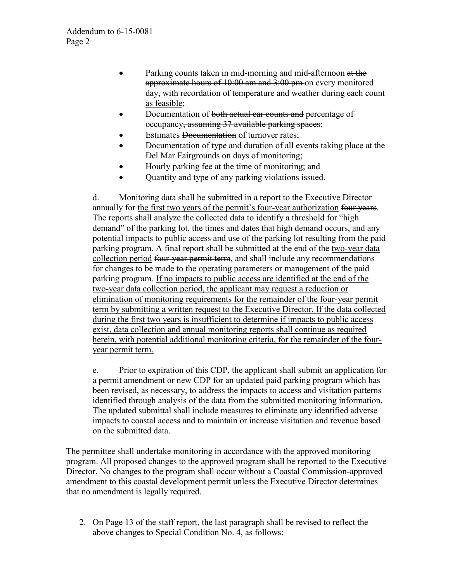- Parking counts taken in mid-morning and mid-afternoon at the approximate hours of 10:00 am and 3:00 pm on every monitored day, with recordation of temperature and weather during each count as feasible;
- Documentation of both actual car counts and percentage of occupancy, assuming 37 available parking spaces;
- Estimates Documentation of turnover rates;
- Documentation of type and duration of all events taking place at the Del Mar Fairgrounds on days of monitoring;
- Hourly parking fee at the time of monitoring; and
- Quantity and type of any parking violations issued.

d. Monitoring data shall be submitted in a report to the Executive Director annually for the first two years of the permit's four-year authorization four years. The reports shall analyze the collected data to identify a threshold for "high demand" of the parking lot, the times and dates that high demand occurs, and any potential impacts to public access and use of the parking lot resulting from the paid parking program. A final report shall be submitted at the end of the two-year data collection period four-year permit term, and shall include any recommendations for changes to be made to the operating parameters or management of the paid parking program. If no impacts to public access are identified at the end of the two-year data collection period, the applicant may request a reduction or elimination of monitoring requirements for the remainder of the four-year permit term by submitting a written request to the Executive Director. If the data collected during the first two years is insufficient to determine if impacts to public access exist, data collection and annual monitoring reports shall continue as required herein, with potential additional monitoring criteria, for the remainder of the fouryear permit term.

e. Prior to expiration of this CDP, the applicant shall submit an application for a permit amendment or new CDP for an updated paid parking program which has been revised, as necessary, to address the impacts to access and visitation patterns identified through analysis of the data from the submitted monitoring information. The updated submittal shall include measures to eliminate any identified adverse impacts to coastal access and to maintain or increase visitation and revenue based on the submitted data.

The permittee shall undertake monitoring in accordance with the approved monitoring program. All proposed changes to the approved program shall be reported to the Executive Director. No changes to the program shall occur without a Coastal Commission-approved amendment to this coastal development permit unless the Executive Director determines that no amendment is legally required.

2. On Page 13 of the staff report, the last paragraph shall be revised to reflect the above changes to Special Condition No. 4, as follows: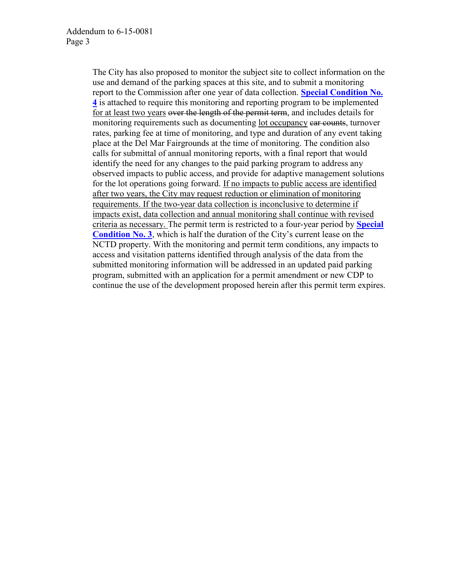The City has also proposed to monitor the subject site to collect information on the use and demand of the parking spaces at this site, and to submit a monitoring report to the Commission after one year of data collection. **Special Condition No. 4** is attached to require this monitoring and reporting program to be implemented for at least two years over the length of the permit term, and includes details for monitoring requirements such as documenting lot occupancy car counts, turnover rates, parking fee at time of monitoring, and type and duration of any event taking place at the Del Mar Fairgrounds at the time of monitoring. The condition also calls for submittal of annual monitoring reports, with a final report that would identify the need for any changes to the paid parking program to address any observed impacts to public access, and provide for adaptive management solutions for the lot operations going forward. If no impacts to public access are identified after two years, the City may request reduction or elimination of monitoring requirements. If the two-year data collection is inconclusive to determine if impacts exist, data collection and annual monitoring shall continue with revised criteria as necessary. The permit term is restricted to a four-year period by **Special Condition No. 3**, which is half the duration of the City's current lease on the NCTD property. With the monitoring and permit term conditions, any impacts to access and visitation patterns identified through analysis of the data from the submitted monitoring information will be addressed in an updated paid parking program, submitted with an application for a permit amendment or new CDP to continue the use of the development proposed herein after this permit term expires.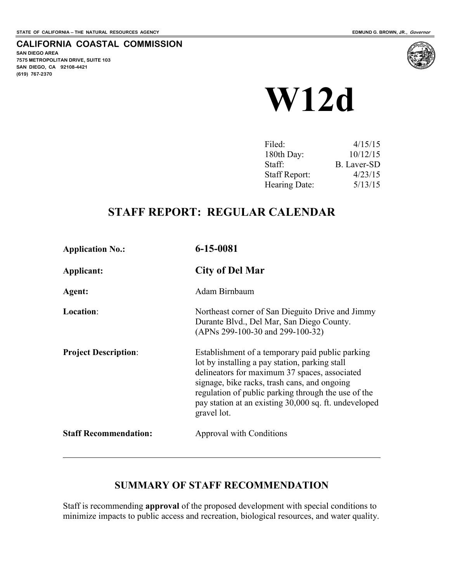**SAN DIEGO AREA** 

**(619) 767-2370**

**7575 METROPOLITAN DRIVE, SUITE 103 SAN DIEGO, CA 92108-4421**

<span id="page-3-0"></span>**CALIFORNIA COASTAL COMMISSION** 

# **W12d**

| Filed:               | 4/15/15     |
|----------------------|-------------|
| 180th Day:           | 10/12/15    |
| Staff:               | B. Laver-SD |
| <b>Staff Report:</b> | 4/23/15     |
| Hearing Date:        | 5/13/15     |

# **STAFF REPORT: REGULAR CALENDAR**

| <b>Application No.:</b>      | 6-15-0081                                                                                                                                                                                                                                                                                                                          |
|------------------------------|------------------------------------------------------------------------------------------------------------------------------------------------------------------------------------------------------------------------------------------------------------------------------------------------------------------------------------|
| Applicant:                   | <b>City of Del Mar</b>                                                                                                                                                                                                                                                                                                             |
| Agent:                       | Adam Birnbaum                                                                                                                                                                                                                                                                                                                      |
| Location:                    | Northeast corner of San Dieguito Drive and Jimmy<br>Durante Blvd., Del Mar, San Diego County.<br>(APNs 299-100-30 and 299-100-32)                                                                                                                                                                                                  |
| <b>Project Description:</b>  | Establishment of a temporary paid public parking<br>lot by installing a pay station, parking stall<br>delineators for maximum 37 spaces, associated<br>signage, bike racks, trash cans, and ongoing<br>regulation of public parking through the use of the<br>pay station at an existing 30,000 sq. ft. undeveloped<br>gravel lot. |
| <b>Staff Recommendation:</b> | Approval with Conditions                                                                                                                                                                                                                                                                                                           |
|                              |                                                                                                                                                                                                                                                                                                                                    |

# **SUMMARY OF STAFF RECOMMENDATION**

Staff is recommending **approval** of the proposed development with special conditions to minimize impacts to public access and recreation, biological resources, and water quality.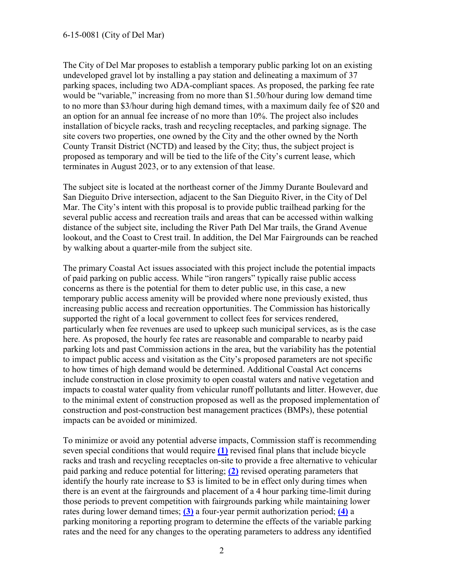The City of Del Mar proposes to establish a temporary public parking lot on an existing undeveloped gravel lot by installing a pay station and delineating a maximum of 37 parking spaces, including two ADA-compliant spaces. As proposed, the parking fee rate would be "variable," increasing from no more than \$1.50/hour during low demand time to no more than \$3/hour during high demand times, with a maximum daily fee of \$20 and an option for an annual fee increase of no more than 10%. The project also includes installation of bicycle racks, trash and recycling receptacles, and parking signage. The site covers two properties, one owned by the City and the other owned by the North County Transit District (NCTD) and leased by the City; thus, the subject project is proposed as temporary and will be tied to the life of the City's current lease, which terminates in August 2023, or to any extension of that lease.

The subject site is located at the northeast corner of the Jimmy Durante Boulevard and San Dieguito Drive intersection, adjacent to the San Dieguito River, in the City of Del Mar. The City's intent with this proposal is to provide public trailhead parking for the several public access and recreation trails and areas that can be accessed within walking distance of the subject site, including the River Path Del Mar trails, the Grand Avenue lookout, and the Coast to Crest trail. In addition, the Del Mar Fairgrounds can be reached by walking about a quarter-mile from the subject site.

The primary Coastal Act issues associated with this project include the potential impacts of paid parking on public access. While "iron rangers" typically raise public access concerns as there is the potential for them to deter public use, in this case, a new temporary public access amenity will be provided where none previously existed, thus increasing public access and recreation opportunities. The Commission has historically supported the right of a local government to collect fees for services rendered, particularly when fee revenues are used to upkeep such municipal services, as is the case here. As proposed, the hourly fee rates are reasonable and comparable to nearby paid parking lots and past Commission actions in the area, but the variability has the potential to impact public access and visitation as the City's proposed parameters are not specific to how times of high demand would be determined. Additional Coastal Act concerns include construction in close proximity to open coastal waters and native vegetation and impacts to coastal water quality from vehicular runoff pollutants and litter. However, due to the minimal extent of construction proposed as well as the proposed implementation of construction and post-construction best management practices (BMPs), these potential impacts can be avoided or minimized.

To minimize or avoid any potential adverse impacts, Commission staff is recommending seven special conditions that would require **[\(1\)](#page-8-0)** revised final plans that include bicycle racks and trash and recycling receptacles on-site to provide a free alternative to vehicular paid parking and reduce potential for littering; **[\(2\)](#page-8-1)** revised operating parameters that identify the hourly rate increase to \$3 is limited to be in effect only during times when there is an event at the fairgrounds and placement of a 4 hour parking time-limit during those periods to prevent competition with fairgrounds parking while maintaining lower rates during lower demand times; **[\(3\)](#page-9-0)** a four-year permit authorization period; **[\(4\)](#page-9-1)** a parking monitoring a reporting program to determine the effects of the variable parking rates and the need for any changes to the operating parameters to address any identified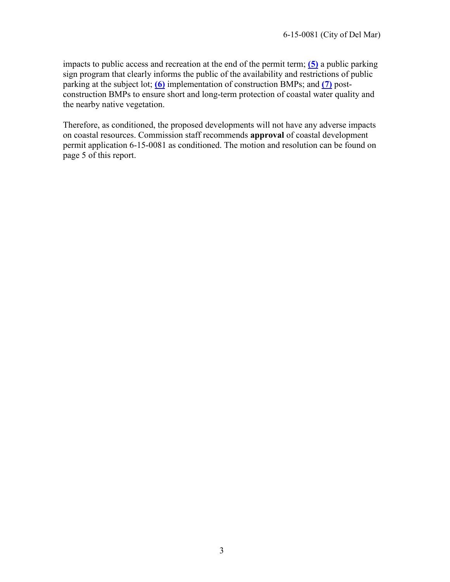impacts to public access and recreation at the end of the permit term; **[\(5\)](#page-10-0)** a public parking sign program that clearly informs the public of the availability and restrictions of public parking at the subject lot; **[\(6\)](#page-10-1)** implementation of construction BMPs; and **[\(7\)](#page-11-0)** postconstruction BMPs to ensure short and long-term protection of coastal water quality and the nearby native vegetation.

Therefore, as conditioned, the proposed developments will not have any adverse impacts on coastal resources. Commission staff recommends **approval** of coastal development permit application 6-15-0081 as conditioned. The motion and resolution can be found on page 5 of this report.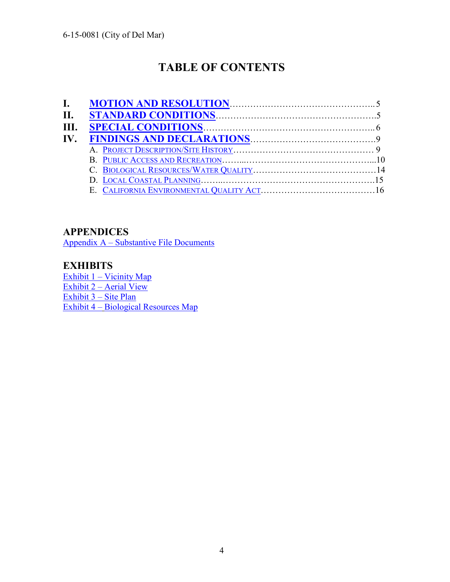# **TABLE OF CONTENTS**

| I.  |  |
|-----|--|
| Н.  |  |
| HL. |  |
| IV. |  |
|     |  |
|     |  |
|     |  |
|     |  |
|     |  |

# **APPENDICES**

[Appendix A – Substantive File Documents](#page-19-0)

# **EXHIBITS**

Exhibit 1 – Vicinity Map [Exhibit 2 – Aerial View](#page-21-0)  [Exhibit 3 – Site Plan](#page-22-0) [Exhibit 4 –](#page-23-0) [Biological Resources Map](#page-23-0)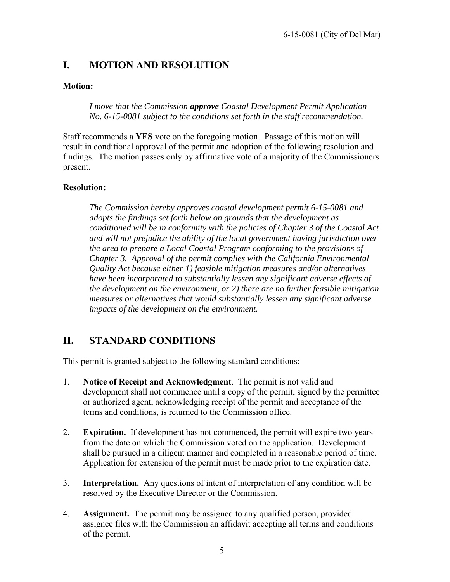# <span id="page-7-0"></span>**I. MOTION AND RESOLUTION**

### **Motion:**

*I move that the Commission approve Coastal Development Permit Application No. 6-15-0081 subject to the conditions set forth in the staff recommendation.* 

Staff recommends a **YES** vote on the foregoing motion. Passage of this motion will result in conditional approval of the permit and adoption of the following resolution and findings. The motion passes only by affirmative vote of a majority of the Commissioners present.

#### **Resolution:**

*The Commission hereby approves coastal development permit 6-15-0081 and adopts the findings set forth below on grounds that the development as conditioned will be in conformity with the policies of Chapter 3 of the Coastal Act and will not prejudice the ability of the local government having jurisdiction over the area to prepare a Local Coastal Program conforming to the provisions of Chapter 3. Approval of the permit complies with the California Environmental Quality Act because either 1) feasible mitigation measures and/or alternatives have been incorporated to substantially lessen any significant adverse effects of the development on the environment, or 2) there are no further feasible mitigation measures or alternatives that would substantially lessen any significant adverse impacts of the development on the environment.* 

# <span id="page-7-1"></span>**II. STANDARD CONDITIONS**

This permit is granted subject to the following standard conditions:

- 1. **Notice of Receipt and Acknowledgment**. The permit is not valid and development shall not commence until a copy of the permit, signed by the permittee or authorized agent, acknowledging receipt of the permit and acceptance of the terms and conditions, is returned to the Commission office.
- 2. **Expiration.** If development has not commenced, the permit will expire two years from the date on which the Commission voted on the application. Development shall be pursued in a diligent manner and completed in a reasonable period of time. Application for extension of the permit must be made prior to the expiration date.
- 3. **Interpretation.** Any questions of intent of interpretation of any condition will be resolved by the Executive Director or the Commission.
- 4. **Assignment.** The permit may be assigned to any qualified person, provided assignee files with the Commission an affidavit accepting all terms and conditions of the permit.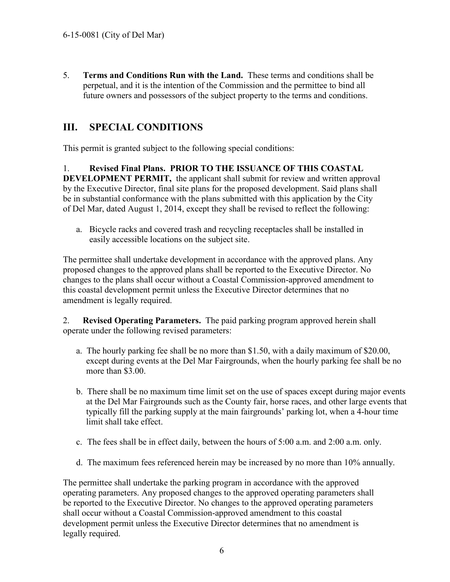5. **Terms and Conditions Run with the Land.** These terms and conditions shall be perpetual, and it is the intention of the Commission and the permittee to bind all future owners and possessors of the subject property to the terms and conditions.

# <span id="page-8-2"></span>**III. SPECIAL CONDITIONS**

This permit is granted subject to the following special conditions:

<span id="page-8-0"></span>1. **Revised Final Plans. PRIOR TO THE ISSUANCE OF THIS COASTAL DEVELOPMENT PERMIT,** the applicant shall submit for review and written approval by the Executive Director, final site plans for the proposed development. Said plans shall be in substantial conformance with the plans submitted with this application by the City of Del Mar, dated August 1, 2014, except they shall be revised to reflect the following:

a. Bicycle racks and covered trash and recycling receptacles shall be installed in easily accessible locations on the subject site.

The permittee shall undertake development in accordance with the approved plans. Any proposed changes to the approved plans shall be reported to the Executive Director. No changes to the plans shall occur without a Coastal Commission-approved amendment to this coastal development permit unless the Executive Director determines that no amendment is legally required.

<span id="page-8-1"></span>2. **Revised Operating Parameters.** The paid parking program approved herein shall operate under the following revised parameters:

- a. The hourly parking fee shall be no more than \$1.50, with a daily maximum of \$20.00, except during events at the Del Mar Fairgrounds, when the hourly parking fee shall be no more than \$3.00.
- b. There shall be no maximum time limit set on the use of spaces except during major events at the Del Mar Fairgrounds such as the County fair, horse races, and other large events that typically fill the parking supply at the main fairgrounds' parking lot, when a 4-hour time limit shall take effect.
- c. The fees shall be in effect daily, between the hours of 5:00 a.m. and 2:00 a.m. only.
- d. The maximum fees referenced herein may be increased by no more than 10% annually.

The permittee shall undertake the parking program in accordance with the approved operating parameters. Any proposed changes to the approved operating parameters shall be reported to the Executive Director. No changes to the approved operating parameters shall occur without a Coastal Commission-approved amendment to this coastal development permit unless the Executive Director determines that no amendment is legally required.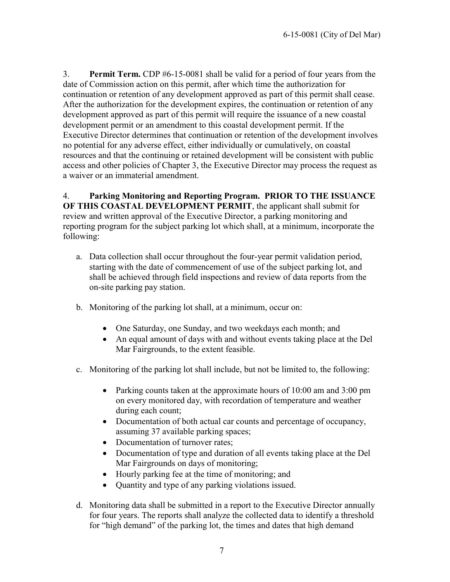<span id="page-9-0"></span>3. **Permit Term.** CDP #6-15-0081 shall be valid for a period of four years from the date of Commission action on this permit, after which time the authorization for continuation or retention of any development approved as part of this permit shall cease. After the authorization for the development expires, the continuation or retention of any development approved as part of this permit will require the issuance of a new coastal development permit or an amendment to this coastal development permit. If the Executive Director determines that continuation or retention of the development involves no potential for any adverse effect, either individually or cumulatively, on coastal resources and that the continuing or retained development will be consistent with public access and other policies of Chapter 3, the Executive Director may process the request as a waiver or an immaterial amendment.

<span id="page-9-1"></span>4. **Parking Monitoring and Reporting Program. PRIOR TO THE ISSUANCE OF THIS COASTAL DEVELOPMENT PERMIT**, the applicant shall submit for review and written approval of the Executive Director, a parking monitoring and reporting program for the subject parking lot which shall, at a minimum, incorporate the following:

- a. Data collection shall occur throughout the four-year permit validation period, starting with the date of commencement of use of the subject parking lot, and shall be achieved through field inspections and review of data reports from the on-site parking pay station.
- b. Monitoring of the parking lot shall, at a minimum, occur on:
	- One Saturday, one Sunday, and two weekdays each month; and
	- An equal amount of days with and without events taking place at the Del Mar Fairgrounds, to the extent feasible.
- c. Monitoring of the parking lot shall include, but not be limited to, the following:
	- Parking counts taken at the approximate hours of 10:00 am and 3:00 pm on every monitored day, with recordation of temperature and weather during each count;
	- Documentation of both actual car counts and percentage of occupancy, assuming 37 available parking spaces;
	- Documentation of turnover rates;
	- Documentation of type and duration of all events taking place at the Del Mar Fairgrounds on days of monitoring;
	- Hourly parking fee at the time of monitoring; and
	- Quantity and type of any parking violations issued.
- d. Monitoring data shall be submitted in a report to the Executive Director annually for four years. The reports shall analyze the collected data to identify a threshold for "high demand" of the parking lot, the times and dates that high demand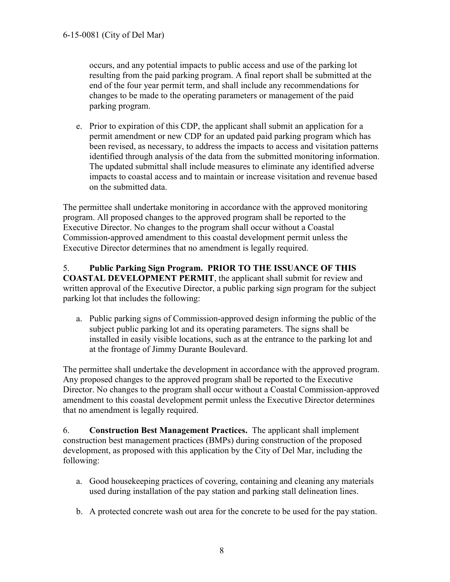occurs, and any potential impacts to public access and use of the parking lot resulting from the paid parking program. A final report shall be submitted at the end of the four year permit term, and shall include any recommendations for changes to be made to the operating parameters or management of the paid parking program.

e. Prior to expiration of this CDP, the applicant shall submit an application for a permit amendment or new CDP for an updated paid parking program which has been revised, as necessary, to address the impacts to access and visitation patterns identified through analysis of the data from the submitted monitoring information. The updated submittal shall include measures to eliminate any identified adverse impacts to coastal access and to maintain or increase visitation and revenue based on the submitted data.

The permittee shall undertake monitoring in accordance with the approved monitoring program. All proposed changes to the approved program shall be reported to the Executive Director. No changes to the program shall occur without a Coastal Commission-approved amendment to this coastal development permit unless the Executive Director determines that no amendment is legally required.

#### <span id="page-10-0"></span>5. **Public Parking Sign Program. PRIOR TO THE ISSUANCE OF THIS COASTAL DEVELOPMENT PERMIT**, the applicant shall submit for review and written approval of the Executive Director, a public parking sign program for the subject parking lot that includes the following:

a. Public parking signs of Commission-approved design informing the public of the subject public parking lot and its operating parameters. The signs shall be installed in easily visible locations, such as at the entrance to the parking lot and at the frontage of Jimmy Durante Boulevard.

The permittee shall undertake the development in accordance with the approved program. Any proposed changes to the approved program shall be reported to the Executive Director. No changes to the program shall occur without a Coastal Commission-approved amendment to this coastal development permit unless the Executive Director determines that no amendment is legally required.

<span id="page-10-1"></span>6. **Construction Best Management Practices.** The applicant shall implement construction best management practices (BMPs) during construction of the proposed development, as proposed with this application by the City of Del Mar, including the following:

- a. Good housekeeping practices of covering, containing and cleaning any materials used during installation of the pay station and parking stall delineation lines.
- b. A protected concrete wash out area for the concrete to be used for the pay station.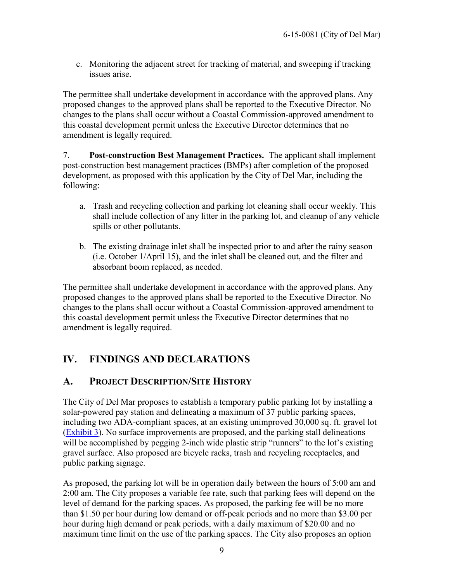c. Monitoring the adjacent street for tracking of material, and sweeping if tracking issues arise.

The permittee shall undertake development in accordance with the approved plans. Any proposed changes to the approved plans shall be reported to the Executive Director. No changes to the plans shall occur without a Coastal Commission-approved amendment to this coastal development permit unless the Executive Director determines that no amendment is legally required.

<span id="page-11-0"></span>7. **Post-construction Best Management Practices.** The applicant shall implement post-construction best management practices (BMPs) after completion of the proposed development, as proposed with this application by the City of Del Mar, including the following:

- a. Trash and recycling collection and parking lot cleaning shall occur weekly. This shall include collection of any litter in the parking lot, and cleanup of any vehicle spills or other pollutants.
- b. The existing drainage inlet shall be inspected prior to and after the rainy season (i.e. October 1/April 15), and the inlet shall be cleaned out, and the filter and absorbant boom replaced, as needed.

The permittee shall undertake development in accordance with the approved plans. Any proposed changes to the approved plans shall be reported to the Executive Director. No changes to the plans shall occur without a Coastal Commission-approved amendment to this coastal development permit unless the Executive Director determines that no amendment is legally required.

# <span id="page-11-1"></span>**IV. FINDINGS AND DECLARATIONS**

# <span id="page-11-2"></span>**A. PROJECT DESCRIPTION/SITE HISTORY**

The City of Del Mar proposes to establish a temporary public parking lot by installing a solar-powered pay station and delineating a maximum of 37 public parking spaces, including two ADA-compliant spaces, at an existing unimproved 30,000 sq. ft. gravel lot [\(Exhibit 3\)](#page-22-0). No surface improvements are proposed, and the parking stall delineations will be accomplished by pegging 2-inch wide plastic strip "runners" to the lot's existing gravel surface. Also proposed are bicycle racks, trash and recycling receptacles, and public parking signage.

As proposed, the parking lot will be in operation daily between the hours of 5:00 am and 2:00 am. The City proposes a variable fee rate, such that parking fees will depend on the level of demand for the parking spaces. As proposed, the parking fee will be no more than \$1.50 per hour during low demand or off-peak periods and no more than \$3.00 per hour during high demand or peak periods, with a daily maximum of \$20.00 and no maximum time limit on the use of the parking spaces. The City also proposes an option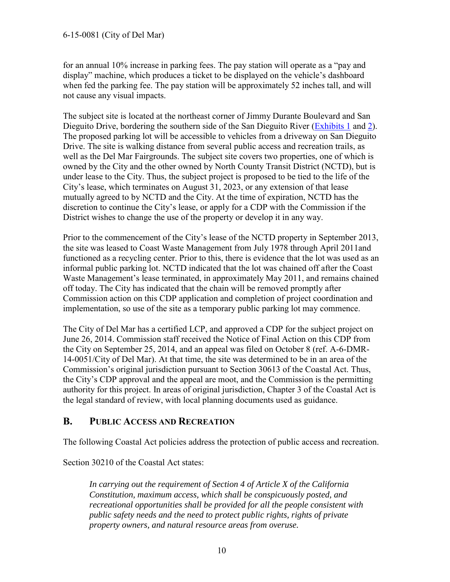for an annual 10% increase in parking fees. The pay station will operate as a "pay and display" machine, which produces a ticket to be displayed on the vehicle's dashboard when fed the parking fee. The pay station will be approximately 52 inches tall, and will not cause any visual impacts.

The subject site is located at the northeast corner of Jimmy Durante Boulevard and San Dieguito Drive, bordering the southern side of the San Dieguito River [\(Exhibits 1](#page-20-0) and [2\)](#page-21-0). The proposed parking lot will be accessible to vehicles from a driveway on San Dieguito Drive. The site is walking distance from several public access and recreation trails, as well as the Del Mar Fairgrounds. The subject site covers two properties, one of which is owned by the City and the other owned by North County Transit District (NCTD), but is under lease to the City. Thus, the subject project is proposed to be tied to the life of the City's lease, which terminates on August 31, 2023, or any extension of that lease mutually agreed to by NCTD and the City. At the time of expiration, NCTD has the discretion to continue the City's lease, or apply for a CDP with the Commission if the District wishes to change the use of the property or develop it in any way.

Prior to the commencement of the City's lease of the NCTD property in September 2013, the site was leased to Coast Waste Management from July 1978 through April 2011and functioned as a recycling center. Prior to this, there is evidence that the lot was used as an informal public parking lot. NCTD indicated that the lot was chained off after the Coast Waste Management's lease terminated, in approximately May 2011, and remains chained off today. The City has indicated that the chain will be removed promptly after Commission action on this CDP application and completion of project coordination and implementation, so use of the site as a temporary public parking lot may commence.

The City of Del Mar has a certified LCP, and approved a CDP for the subject project on June 26, 2014. Commission staff received the Notice of Final Action on this CDP from the City on September 25, 2014, and an appeal was filed on October 8 (ref. A-6-DMR-14-0051/City of Del Mar). At that time, the site was determined to be in an area of the Commission's original jurisdiction pursuant to Section 30613 of the Coastal Act. Thus, the City's CDP approval and the appeal are moot, and the Commission is the permitting authority for this project. In areas of original jurisdiction, Chapter 3 of the Coastal Act is the legal standard of review, with local planning documents used as guidance.

## <span id="page-12-0"></span>**B. PUBLIC ACCESS AND RECREATION**

The following Coastal Act policies address the protection of public access and recreation.

Section 30210 of the Coastal Act states:

*In carrying out the requirement of Section 4 of Article X of the California Constitution, maximum access, which shall be conspicuously posted, and recreational opportunities shall be provided for all the people consistent with public safety needs and the need to protect public rights, rights of private property owners, and natural resource areas from overuse.*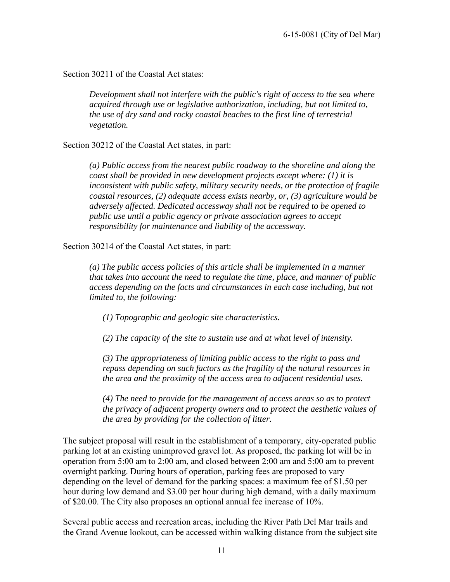Section 30211 of the Coastal Act states:

*Development shall not interfere with the public's right of access to the sea where acquired through use or legislative authorization, including, but not limited to, the use of dry sand and rocky coastal beaches to the first line of terrestrial vegetation.*

Section 30212 of the Coastal Act states, in part:

*(a) Public access from the nearest public roadway to the shoreline and along the coast shall be provided in new development projects except where: (1) it is inconsistent with public safety, military security needs, or the protection of fragile coastal resources, (2) adequate access exists nearby, or, (3) agriculture would be adversely affected. Dedicated accessway shall not be required to be opened to public use until a public agency or private association agrees to accept responsibility for maintenance and liability of the accessway.* 

Section 30214 of the Coastal Act states, in part:

*(a) The public access policies of this article shall be implemented in a manner that takes into account the need to regulate the time, place, and manner of public access depending on the facts and circumstances in each case including, but not limited to, the following:* 

*(1) Topographic and geologic site characteristics.* 

*(2) The capacity of the site to sustain use and at what level of intensity.* 

*(3) The appropriateness of limiting public access to the right to pass and repass depending on such factors as the fragility of the natural resources in the area and the proximity of the access area to adjacent residential uses.* 

*(4) The need to provide for the management of access areas so as to protect the privacy of adjacent property owners and to protect the aesthetic values of the area by providing for the collection of litter.* 

The subject proposal will result in the establishment of a temporary, city-operated public parking lot at an existing unimproved gravel lot. As proposed, the parking lot will be in operation from 5:00 am to 2:00 am, and closed between 2:00 am and 5:00 am to prevent overnight parking. During hours of operation, parking fees are proposed to vary depending on the level of demand for the parking spaces: a maximum fee of \$1.50 per hour during low demand and \$3.00 per hour during high demand, with a daily maximum of \$20.00. The City also proposes an optional annual fee increase of 10%.

Several public access and recreation areas, including the River Path Del Mar trails and the Grand Avenue lookout, can be accessed within walking distance from the subject site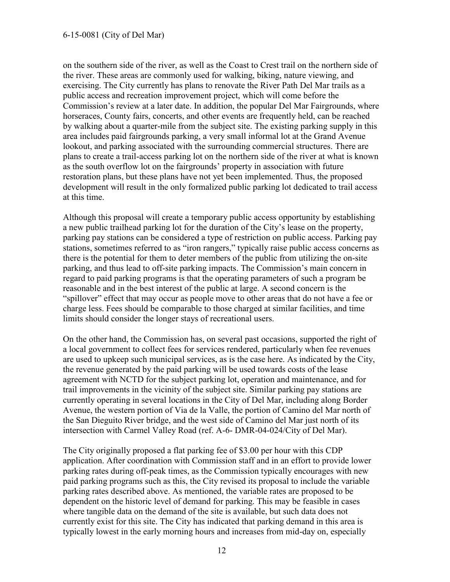on the southern side of the river, as well as the Coast to Crest trail on the northern side of the river. These areas are commonly used for walking, biking, nature viewing, and exercising. The City currently has plans to renovate the River Path Del Mar trails as a public access and recreation improvement project, which will come before the Commission's review at a later date. In addition, the popular Del Mar Fairgrounds, where horseraces, County fairs, concerts, and other events are frequently held, can be reached by walking about a quarter-mile from the subject site. The existing parking supply in this area includes paid fairgrounds parking, a very small informal lot at the Grand Avenue lookout, and parking associated with the surrounding commercial structures. There are plans to create a trail-access parking lot on the northern side of the river at what is known as the south overflow lot on the fairgrounds' property in association with future restoration plans, but these plans have not yet been implemented. Thus, the proposed development will result in the only formalized public parking lot dedicated to trail access at this time.

Although this proposal will create a temporary public access opportunity by establishing a new public trailhead parking lot for the duration of the City's lease on the property, parking pay stations can be considered a type of restriction on public access. Parking pay stations, sometimes referred to as "iron rangers," typically raise public access concerns as there is the potential for them to deter members of the public from utilizing the on-site parking, and thus lead to off-site parking impacts. The Commission's main concern in regard to paid parking programs is that the operating parameters of such a program be reasonable and in the best interest of the public at large. A second concern is the "spillover" effect that may occur as people move to other areas that do not have a fee or charge less. Fees should be comparable to those charged at similar facilities, and time limits should consider the longer stays of recreational users.

On the other hand, the Commission has, on several past occasions, supported the right of a local government to collect fees for services rendered, particularly when fee revenues are used to upkeep such municipal services, as is the case here. As indicated by the City, the revenue generated by the paid parking will be used towards costs of the lease agreement with NCTD for the subject parking lot, operation and maintenance, and for trail improvements in the vicinity of the subject site. Similar parking pay stations are currently operating in several locations in the City of Del Mar, including along Border Avenue, the western portion of Via de la Valle, the portion of Camino del Mar north of the San Dieguito River bridge, and the west side of Camino del Mar just north of its intersection with Carmel Valley Road (ref. A-6- DMR-04-024/City of Del Mar).

The City originally proposed a flat parking fee of \$3.00 per hour with this CDP application. After coordination with Commission staff and in an effort to provide lower parking rates during off-peak times, as the Commission typically encourages with new paid parking programs such as this, the City revised its proposal to include the variable parking rates described above. As mentioned, the variable rates are proposed to be dependent on the historic level of demand for parking. This may be feasible in cases where tangible data on the demand of the site is available, but such data does not currently exist for this site. The City has indicated that parking demand in this area is typically lowest in the early morning hours and increases from mid-day on, especially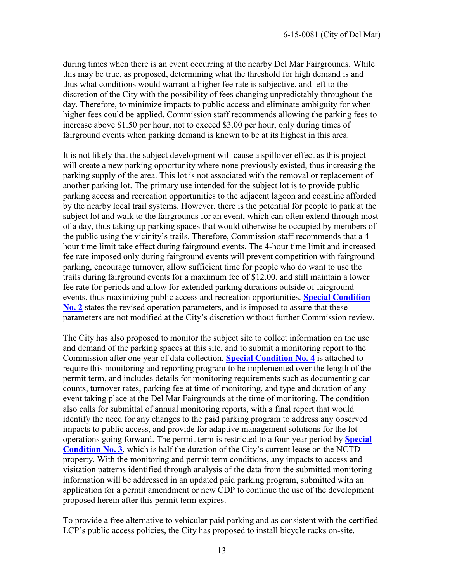during times when there is an event occurring at the nearby Del Mar Fairgrounds. While this may be true, as proposed, determining what the threshold for high demand is and thus what conditions would warrant a higher fee rate is subjective, and left to the discretion of the City with the possibility of fees changing unpredictably throughout the day. Therefore, to minimize impacts to public access and eliminate ambiguity for when higher fees could be applied, Commission staff recommends allowing the parking fees to increase above \$1.50 per hour, not to exceed \$3.00 per hour, only during times of fairground events when parking demand is known to be at its highest in this area.

It is not likely that the subject development will cause a spillover effect as this project will create a new parking opportunity where none previously existed, thus increasing the parking supply of the area. This lot is not associated with the removal or replacement of another parking lot. The primary use intended for the subject lot is to provide public parking access and recreation opportunities to the adjacent lagoon and coastline afforded by the nearby local trail systems. However, there is the potential for people to park at the subject lot and walk to the fairgrounds for an event, which can often extend through most of a day, thus taking up parking spaces that would otherwise be occupied by members of the public using the vicinity's trails. Therefore, Commission staff recommends that a 4 hour time limit take effect during fairground events. The 4-hour time limit and increased fee rate imposed only during fairground events will prevent competition with fairground parking, encourage turnover, allow sufficient time for people who do want to use the trails during fairground events for a maximum fee of \$12.00, and still maintain a lower fee rate for periods and allow for extended parking durations outside of fairground events, thus maximizing public access and recreation opportunities. **[Special Condition](#page-8-1)  [No. 2](#page-8-1)** states the revised operation parameters, and is imposed to assure that these parameters are not modified at the City's discretion without further Commission review.

The City has also proposed to monitor the subject site to collect information on the use and demand of the parking spaces at this site, and to submit a monitoring report to the Commission after one year of data collection. **[Special Condition No. 4](#page-9-1)** is attached to require this monitoring and reporting program to be implemented over the length of the permit term, and includes details for monitoring requirements such as documenting car counts, turnover rates, parking fee at time of monitoring, and type and duration of any event taking place at the Del Mar Fairgrounds at the time of monitoring. The condition also calls for submittal of annual monitoring reports, with a final report that would identify the need for any changes to the paid parking program to address any observed impacts to public access, and provide for adaptive management solutions for the lot operations going forward. The permit term is restricted to a four-year period by **[Special](#page-9-0)  [Condition No. 3](#page-9-0)**, which is half the duration of the City's current lease on the NCTD property. With the monitoring and permit term conditions, any impacts to access and visitation patterns identified through analysis of the data from the submitted monitoring information will be addressed in an updated paid parking program, submitted with an application for a permit amendment or new CDP to continue the use of the development proposed herein after this permit term expires.

To provide a free alternative to vehicular paid parking and as consistent with the certified LCP's public access policies, the City has proposed to install bicycle racks on-site.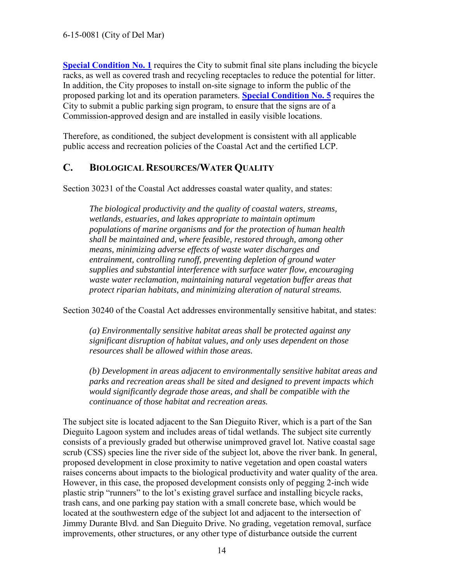**[Special Condition No. 1](#page-8-0)** requires the City to submit final site plans including the bicycle racks, as well as covered trash and recycling receptacles to reduce the potential for litter. In addition, the City proposes to install on-site signage to inform the public of the proposed parking lot and its operation parameters. **[Special Condition No. 5](#page-10-0)** requires the City to submit a public parking sign program, to ensure that the signs are of a Commission-approved design and are installed in easily visible locations.

Therefore, as conditioned, the subject development is consistent with all applicable public access and recreation policies of the Coastal Act and the certified LCP.

## <span id="page-16-0"></span>**C. BIOLOGICAL RESOURCES/WATER QUALITY**

Section 30231 of the Coastal Act addresses coastal water quality, and states:

*The biological productivity and the quality of coastal waters, streams, wetlands, estuaries, and lakes appropriate to maintain optimum populations of marine organisms and for the protection of human health shall be maintained and, where feasible, restored through, among other means, minimizing adverse effects of waste water discharges and entrainment, controlling runoff, preventing depletion of ground water supplies and substantial interference with surface water flow, encouraging waste water reclamation, maintaining natural vegetation buffer areas that protect riparian habitats, and minimizing alteration of natural streams.* 

Section 30240 of the Coastal Act addresses environmentally sensitive habitat, and states:

*(a) Environmentally sensitive habitat areas shall be protected against any significant disruption of habitat values, and only uses dependent on those resources shall be allowed within those areas.* 

*(b) Development in areas adjacent to environmentally sensitive habitat areas and parks and recreation areas shall be sited and designed to prevent impacts which would significantly degrade those areas, and shall be compatible with the continuance of those habitat and recreation areas.* 

The subject site is located adjacent to the San Dieguito River, which is a part of the San Dieguito Lagoon system and includes areas of tidal wetlands. The subject site currently consists of a previously graded but otherwise unimproved gravel lot. Native coastal sage scrub (CSS) species line the river side of the subject lot, above the river bank. In general, proposed development in close proximity to native vegetation and open coastal waters raises concerns about impacts to the biological productivity and water quality of the area. However, in this case, the proposed development consists only of pegging 2-inch wide plastic strip "runners" to the lot's existing gravel surface and installing bicycle racks, trash cans, and one parking pay station with a small concrete base, which would be located at the southwestern edge of the subject lot and adjacent to the intersection of Jimmy Durante Blvd. and San Dieguito Drive. No grading, vegetation removal, surface improvements, other structures, or any other type of disturbance outside the current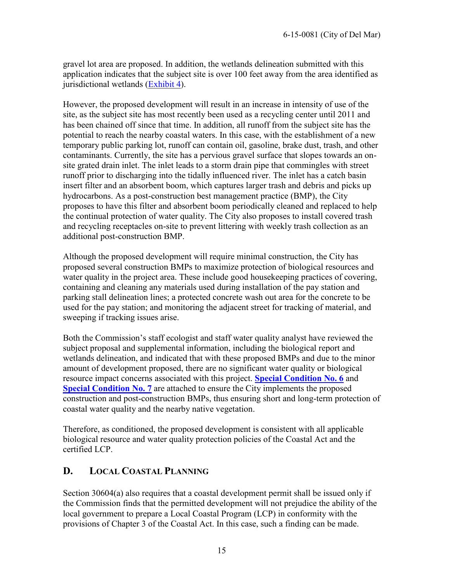gravel lot area are proposed. In addition, the wetlands delineation submitted with this application indicates that the subject site is over 100 feet away from the area identified as jurisdictional wetlands [\(Exhibit 4\)](#page-23-0).

However, the proposed development will result in an increase in intensity of use of the site, as the subject site has most recently been used as a recycling center until 2011 and has been chained off since that time. In addition, all runoff from the subject site has the potential to reach the nearby coastal waters. In this case, with the establishment of a new temporary public parking lot, runoff can contain oil, gasoline, brake dust, trash, and other contaminants. Currently, the site has a pervious gravel surface that slopes towards an onsite grated drain inlet. The inlet leads to a storm drain pipe that commingles with street runoff prior to discharging into the tidally influenced river. The inlet has a catch basin insert filter and an absorbent boom, which captures larger trash and debris and picks up hydrocarbons. As a post-construction best management practice (BMP), the City proposes to have this filter and absorbent boom periodically cleaned and replaced to help the continual protection of water quality. The City also proposes to install covered trash and recycling receptacles on-site to prevent littering with weekly trash collection as an additional post-construction BMP.

Although the proposed development will require minimal construction, the City has proposed several construction BMPs to maximize protection of biological resources and water quality in the project area. These include good housekeeping practices of covering, containing and cleaning any materials used during installation of the pay station and parking stall delineation lines; a protected concrete wash out area for the concrete to be used for the pay station; and monitoring the adjacent street for tracking of material, and sweeping if tracking issues arise.

Both the Commission's staff ecologist and staff water quality analyst have reviewed the subject proposal and supplemental information, including the biological report and wetlands delineation, and indicated that with these proposed BMPs and due to the minor amount of development proposed, there are no significant water quality or biological resource impact concerns associated with this project. **[Special Condition No. 6](#page-10-1)** and **[Special Condition No. 7](#page-11-0)** are attached to ensure the City implements the proposed construction and post-construction BMPs, thus ensuring short and long-term protection of coastal water quality and the nearby native vegetation.

Therefore, as conditioned, the proposed development is consistent with all applicable biological resource and water quality protection policies of the Coastal Act and the certified LCP.

# <span id="page-17-0"></span>**D. LOCAL COASTAL PLANNING**

Section 30604(a) also requires that a coastal development permit shall be issued only if the Commission finds that the permitted development will not prejudice the ability of the local government to prepare a Local Coastal Program (LCP) in conformity with the provisions of Chapter 3 of the Coastal Act. In this case, such a finding can be made.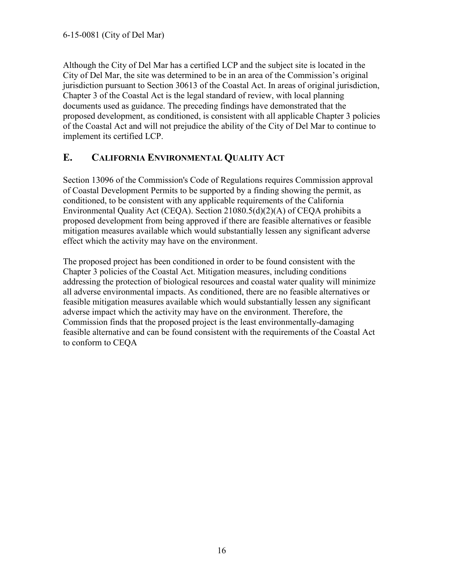Although the City of Del Mar has a certified LCP and the subject site is located in the City of Del Mar, the site was determined to be in an area of the Commission's original jurisdiction pursuant to Section 30613 of the Coastal Act. In areas of original jurisdiction, Chapter 3 of the Coastal Act is the legal standard of review, with local planning documents used as guidance. The preceding findings have demonstrated that the proposed development, as conditioned, is consistent with all applicable Chapter 3 policies of the Coastal Act and will not prejudice the ability of the City of Del Mar to continue to implement its certified LCP.

# <span id="page-18-0"></span>**E. CALIFORNIA ENVIRONMENTAL QUALITY ACT**

Section 13096 of the Commission's Code of Regulations requires Commission approval of Coastal Development Permits to be supported by a finding showing the permit, as conditioned, to be consistent with any applicable requirements of the California Environmental Quality Act (CEQA). Section 21080.5(d)(2)(A) of CEQA prohibits a proposed development from being approved if there are feasible alternatives or feasible mitigation measures available which would substantially lessen any significant adverse effect which the activity may have on the environment.

<span id="page-18-1"></span>The proposed project has been conditioned in order to be found consistent with the Chapter 3 policies of the Coastal Act. Mitigation measures, including conditions addressing the protection of biological resources and coastal water quality will minimize all adverse environmental impacts. As conditioned, there are no feasible alternatives or feasible mitigation measures available which would substantially lessen any significant adverse impact which the activity may have on the environment. Therefore, the Commission finds that the proposed project is the least environmentally-damaging feasible alternative and can be found consistent with the requirements of the Coastal Act to conform to CEQA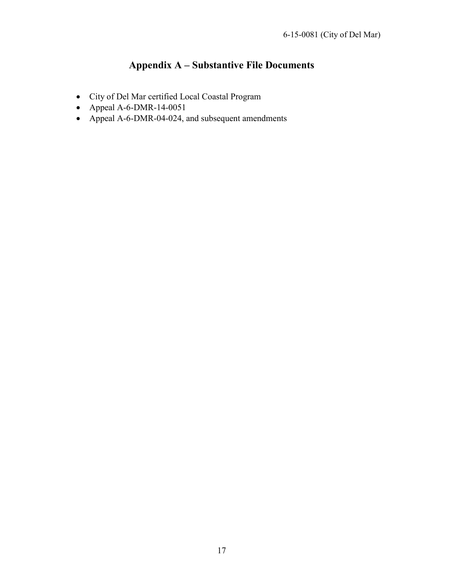# <span id="page-19-0"></span>**Appendix A – Substantive File Documents**

- City of Del Mar certified Local Coastal Program
- Appeal A-6-DMR-14-0051
- Appeal A-6-DMR-04-024, and subsequent amendments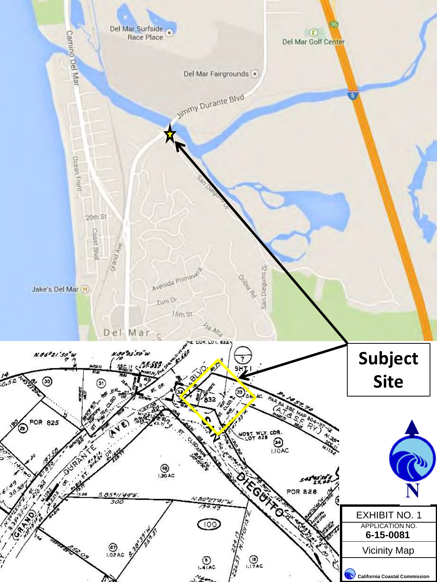<span id="page-20-0"></span>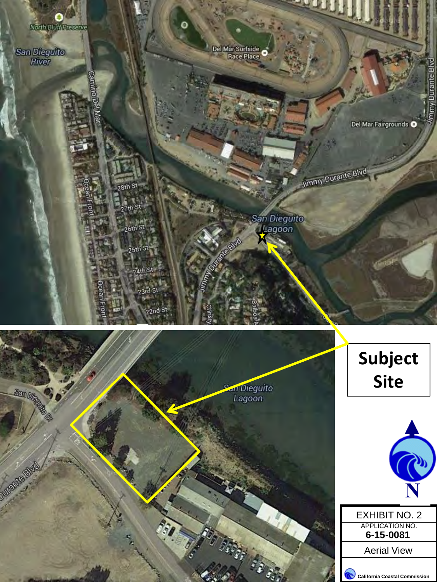<span id="page-21-0"></span>

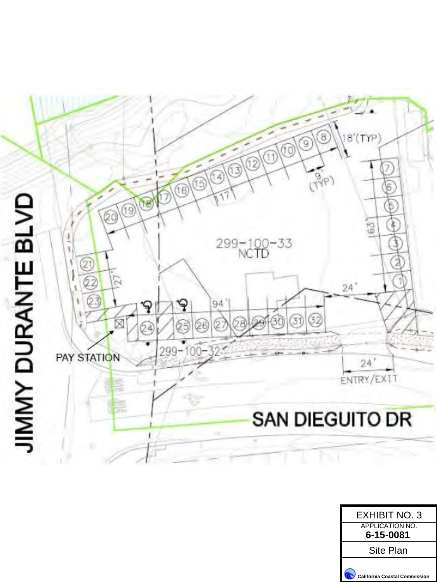<span id="page-22-0"></span>

| <b>EXHIBIT NO. 3</b>                 |
|--------------------------------------|
| <b>APPLICATION NO.</b>               |
| 6-15-0081                            |
| Site Plan                            |
| <b>California Coastal Commission</b> |